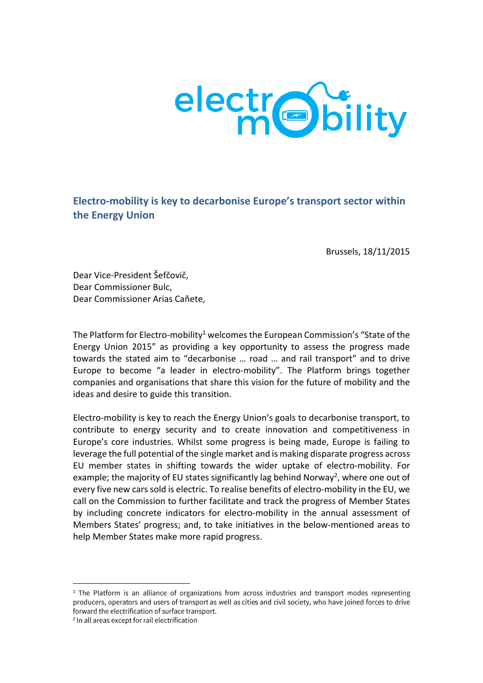

**Electro-mobility is key to decarbonise Europe's transport sector within the Energy Union** 

Brussels, 18/11/2015

Dear Vice-President Šefčovič, Dear Commissioner Bulc, Dear Commissioner Arias Cañete,

The Platform for Electro-mobility<sup>1</sup> welcomes the European Commission's "State of the Energy Union 2015" as providing a key opportunity to assess the progress made towards the stated aim to "decarbonise … road … and rail transport" and to drive Europe to become "a leader in electro-mobility". The Platform brings together companies and organisations that share this vision for the future of mobility and the ideas and desire to guide this transition.

Electro-mobility is key to reach the Energy Union's goals to decarbonise transport, to contribute to energy security and to create innovation and competitiveness in Europe's core industries. Whilst some progress is being made, Europe is failing to leverage the full potential of the single market and is making disparate progress across EU member states in shifting towards the wider uptake of electro-mobility. For example; the majority of EU states significantly lag behind Norway<sup>2</sup>, where one out of every five new cars sold is electric. To realise benefits of electro-mobility in the EU, we call on the Commission to further facilitate and track the progress of Member States by including concrete indicators for electro-mobility in the annual assessment of Members States' progress; and, to take initiatives in the below-mentioned areas to help Member States make more rapid progress.

 $\overline{a}$ 

 $1$  The Platform is an alliance of organizations from across industries and transport modes representing producers, operators and users of transport as well as cities and civil society, who have joined forces to drive forward the electrification of surface transport.

<sup>&</sup>lt;sup>2</sup> In all areas except for rail electrification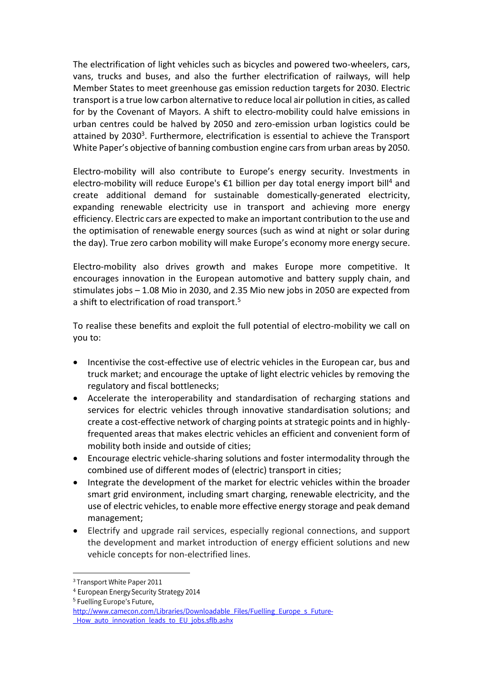The electrification of light vehicles such as bicycles and powered two-wheelers, cars, vans, trucks and buses, and also the further electrification of railways, will help Member States to meet greenhouse gas emission reduction targets for 2030. Electric transport is a true low carbon alternative to reduce local air pollution in cities, as called for by the Covenant of Mayors. A shift to electro-mobility could halve emissions in urban centres could be halved by 2050 and zero-emission urban logistics could be attained by 2030<sup>3</sup>. Furthermore, electrification is essential to achieve the Transport White Paper's objective of banning combustion engine cars from urban areas by 2050.

Electro-mobility will also contribute to Europe's energy security. Investments in electro-mobility will reduce Europe's  $\epsilon$ 1 billion per day total energy import bill<sup>4</sup> and create additional demand for sustainable domestically-generated electricity, expanding renewable electricity use in transport and achieving more energy efficiency. Electric cars are expected to make an important contribution to the use and the optimisation of renewable energy sources (such as wind at night or solar during the day). True zero carbon mobility will make Europe's economy more energy secure.

Electro-mobility also drives growth and makes Europe more competitive. It encourages innovation in the European automotive and battery supply chain, and stimulates jobs – 1.08 Mio in 2030, and 2.35 Mio new jobs in 2050 are expected from a shift to electrification of road transport. $^5$ 

To realise these benefits and exploit the full potential of electro-mobility we call on you to:

- Incentivise the cost-effective use of electric vehicles in the European car, bus and truck market; and encourage the uptake of light electric vehicles by removing the regulatory and fiscal bottlenecks;
- Accelerate the interoperability and standardisation of recharging stations and services for electric vehicles through innovative standardisation solutions; and create a cost-effective network of charging points at strategic points and in highlyfrequented areas that makes electric vehicles an efficient and convenient form of mobility both inside and outside of cities;
- Encourage electric vehicle-sharing solutions and foster intermodality through the combined use of different modes of (electric) transport in cities;
- Integrate the development of the market for electric vehicles within the broader smart grid environment, including smart charging, renewable electricity, and the use of electric vehicles, to enable more effective energy storage and peak demand management;
- Electrify and upgrade rail services, especially regional connections, and support the development and market introduction of energy efficient solutions and new vehicle concepts for non-electrified lines.

 $\overline{a}$ 

<sup>&</sup>lt;sup>4</sup> European Energy Security Strategy 2014

<sup>&</sup>lt;sup>5</sup> Fuelling Europe's Future,

http://www.camecon.com/Libraries/Downloadable Files/Fuelling Europe s Future-How auto innovation leads to EU jobs.sflb.ashx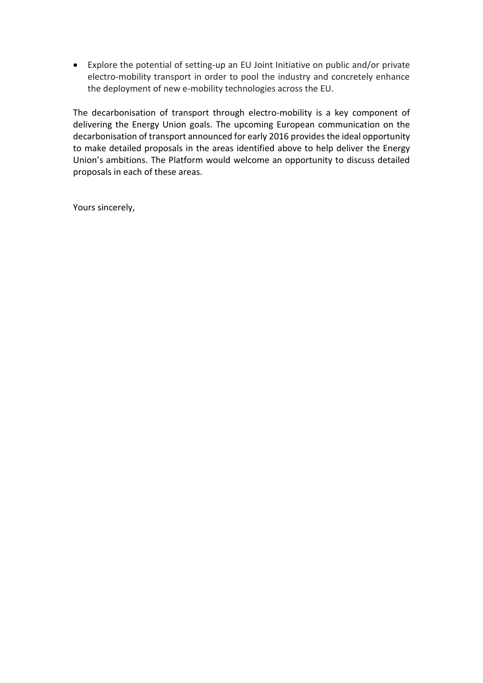Explore the potential of setting-up an EU Joint Initiative on public and/or private electro-mobility transport in order to pool the industry and concretely enhance the deployment of new e-mobility technologies across the EU.

The decarbonisation of transport through electro-mobility is a key component of delivering the Energy Union goals. The upcoming European communication on the decarbonisation of transport announced for early 2016 provides the ideal opportunity to make detailed proposals in the areas identified above to help deliver the Energy Union's ambitions. The Platform would welcome an opportunity to discuss detailed proposals in each of these areas.

Yours sincerely,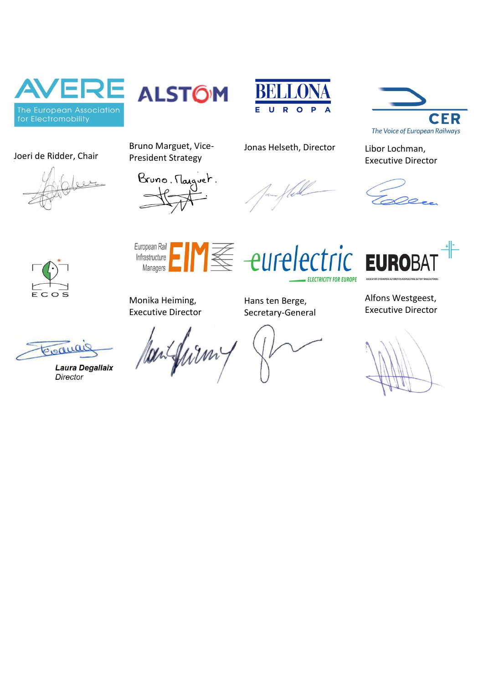

Joeri de Ridder, Chair







Executive Director







Bruno Marguet, Vice-President Strategy

Jonas Helseth, Director Libor Lochman,



**ELECTRICITY FOR EUROPE** 



Monika Heiming, Executive Director

Hans ten Berge, Secretary-General

E eurelectric EUR

Alfons Westgeest, Executive Director

Piodu

**Laura Degallaix Director**